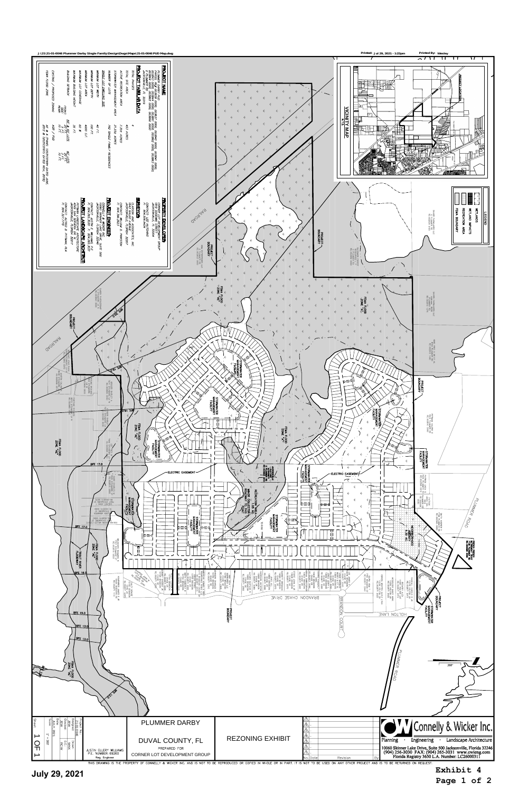**Page 1 of 2**



THIS DRAWING IS THE PROPERTY OF CONNELLY & WICKER INC. AND IS NOT TO BE REPRODUCED OR COPIED IN WHOLE OR IN PART. IT IS NOT TO BE USED ON ANY OTHER PROJECT AND IS TO BE RETURNED ON REQUEST.

**Exhibit 4** 

**July 29, 2021**